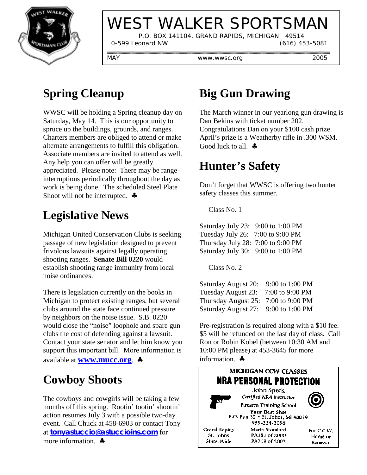

# WEST WALKER SPORTSMAN

 P.O. BOX 141104, GRAND RAPIDS, MICHIGAN 49514 0-599 Leonard NW (616) 453-5081

MAY www.wwsc.org 2005

### **Spring Cleanup**

WWSC will be holding a Spring cleanup day on Saturday, May 14. This is our opportunity to spruce up the buildings, grounds, and ranges. Charters members are obliged to attend or make alternate arrangements to fulfill this obligation. Associate members are invited to attend as well. Any help you can offer will be greatly appreciated. Please note: There may be range interruptions periodically throughout the day as work is being done. The scheduled Steel Plate Shoot will not be interrupted. ♣

# **Legislative News**

Michigan United Conservation Clubs is seeking passage of new legislation designed to prevent frivolous lawsuits against legally operating shooting ranges. **Senate Bill 0220** would establish shooting range immunity from local noise ordinances.

There is legislation currently on the books in Michigan to protect existing ranges, but several clubs around the state face continued pressure by neighbors on the noise issue. S.B. 0220 would close the "noise" loophole and spare gun clubs the cost of defending against a lawsuit. Contact your state senator and let him know you support this important bill. More information is available at **www.mucc.org**. ♣

# **Cowboy Shoots**

The cowboys and cowgirls will be taking a few months off this spring. Rootin' tootin' shootin' action resumes July 3 with a possible two-day event. Call Chuck at 458-6903 or contact Tony at **tonyastuccio@astuccioins.com** for more information. ♣

#### **Big Gun Drawing**

The March winner in our yearlong gun drawing is Dan Bekins with ticket number 202. Congratulations Dan on your \$100 cash prize. April's prize is a Weatherby rifle in .300 WSM. Good luck to all.  $\clubsuit$ 

#### **Hunter's Safety**

Don't forget that WWSC is offering two hunter safety classes this summer.

Class No. 1

Saturday July 23: 9:00 to 1:00 PM Tuesday July 26: 7:00 to 9:00 PM Thursday July 28: 7:00 to 9:00 PM Saturday July 30: 9:00 to 1:00 PM

Class No. 2

| Saturday August 20: | 9:00 to 1:00 PM |
|---------------------|-----------------|
| Tuesday August 23:  | 7:00 to 9:00 PM |
| Thursday August 25: | 7:00 to 9:00 PM |
| Saturday August 27: | 9:00 to 1:00 PM |

Pre-registration is required along with a \$10 fee. \$5 will be refunded on the last day of class. Call Ron or Robin Kobel (between 10:30 AM and 10:00 PM please) at 453-3645 for more information. ♣

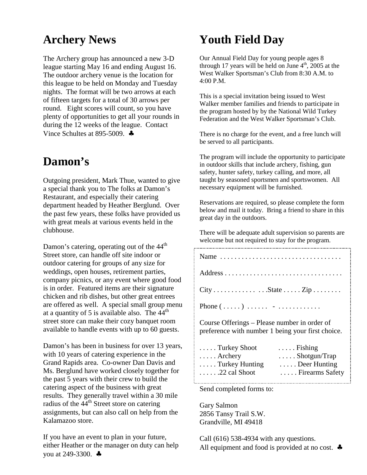#### **Archery News**

The Archery group has announced a new 3-D league starting May 16 and ending August 16. The outdoor archery venue is the location for this league to be held on Monday and Tuesday nights. The format will be two arrows at each of fifteen targets for a total of 30 arrows per round. Eight scores will count, so you have plenty of opportunities to get all your rounds in during the 12 weeks of the league. Contact Vince Schultes at 895-5009. ♣

#### **Damon's**

Outgoing president, Mark Thue, wanted to give a special thank you to The folks at Damon's Restaurant, and especially their catering department headed by Heather Berglund. Over the past few years, these folks have provided us with great meals at various events held in the clubhouse.

Damon's catering, operating out of the 44<sup>th</sup> Street store, can handle off site indoor or outdoor catering for groups of any size for weddings, open houses, retirement parties, company picnics, or any event where good food is in order. Featured items are their signature chicken and rib dishes, but other great entrees are offered as well. A special small group menu at a quantity of 5 is available also. The  $44<sup>th</sup>$ street store can make their cozy banquet room available to handle events with up to 60 guests.

Damon's has been in business for over 13 years, with 10 years of catering experience in the Grand Rapids area. Co-owner Dan Davis and Ms. Berglund have worked closely together for the past 5 years with their crew to build the catering aspect of the business with great results. They generally travel within a 30 mile radius of the  $44<sup>th</sup>$  Street store on catering assignments, but can also call on help from the Kalamazoo store.

If you have an event to plan in your future, either Heather or the manager on duty can help you at 249-3300. ♣

# **Youth Field Day**

Our Annual Field Day for young people ages 8 through 17 years will be held on June  $4<sup>th</sup>$ , 2005 at the West Walker Sportsman's Club from 8:30 A.M. to 4:00 P.M.

This is a special invitation being issued to West Walker member families and friends to participate in the program hosted by by the National Wild Turkey Federation and the West Walker Sportsman's Club.

There is no charge for the event, and a free lunch will be served to all participants.

The program will include the opportunity to participate in outdoor skills that include archery, fishing, gun safety, hunter safety, turkey calling, and more, all taught by seasoned sportsmen and sportswomen. All necessary equipment will be furnished.

Reservations are required, so please complete the form below and mail it today. Bring a friend to share in this great day in the outdoors.

There will be adequate adult supervision so parents are welcome but not required to stay for the program.

| $City \ldots \ldots \ldots \ldots \ldots$ . State $\ldots \ldots \text{Zip} \ldots \ldots$                                                |  |  |  |  |
|-------------------------------------------------------------------------------------------------------------------------------------------|--|--|--|--|
| Phone $(\ldots)$ $\ldots$ $\ldots$ $\ldots$ $\ldots$                                                                                      |  |  |  |  |
| Course Offerings – Please number in order of<br>preference with number 1 being your first choice.                                         |  |  |  |  |
| $\ldots$ . Turkey Shoot<br>$\ldots$ . Fishing<br>$\ldots$ . Archery<br>$\ldots$ Shotgun/Trap<br>Turkey Hunting<br>$\ldots$ . Deer Hunting |  |  |  |  |

. . . . . .22 cal Shoot . . . . . Firearms Safety

Send completed forms to:

Gary Salmon 2856 Tansy Trail S.W. Grandville, MI 49418

Call (616) 538-4934 with any questions. All equipment and food is provided at no cost. ♣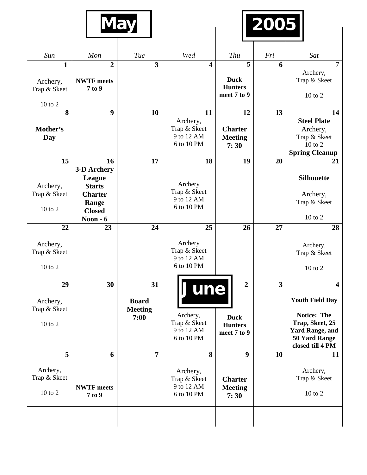|                                                     |                                                                                                  | May                            |                                                      |                                                   | 2005                    |                                                                                                             |
|-----------------------------------------------------|--------------------------------------------------------------------------------------------------|--------------------------------|------------------------------------------------------|---------------------------------------------------|-------------------------|-------------------------------------------------------------------------------------------------------------|
|                                                     |                                                                                                  |                                |                                                      |                                                   |                         |                                                                                                             |
| Sun                                                 | Mon                                                                                              | Tue                            | Wed                                                  | Thu                                               | Fri                     | Sat                                                                                                         |
| $\mathbf{1}$<br>Archery,<br>Trap & Skeet<br>10 to 2 | $\overline{2}$<br><b>NWTF</b> meets<br>7 to 9                                                    | $\overline{\mathbf{3}}$        | $\overline{\mathbf{4}}$                              | 5<br><b>Duck</b><br><b>Hunters</b><br>meet 7 to 9 | 6                       | $\tau$<br>Archery,<br>Trap & Skeet<br>10 to 2                                                               |
| 8                                                   | 9                                                                                                | 10                             | 11                                                   | 12                                                | 13                      | 14                                                                                                          |
| Mother's<br><b>Day</b>                              |                                                                                                  |                                | Archery,<br>Trap & Skeet<br>9 to 12 AM<br>6 to 10 PM | <b>Charter</b><br><b>Meeting</b><br>7:30          |                         | <b>Steel Plate</b><br>Archery,<br>Trap & Skeet<br>$10$ to $2$<br><b>Spring Cleanup</b>                      |
| 15                                                  | 16                                                                                               | 17                             | 18                                                   | 19                                                | 20                      | 21                                                                                                          |
| Archery,<br>Trap & Skeet<br>$10$ to $2$             | <b>3-D Archery</b><br><b>League</b><br><b>Starts</b><br><b>Charter</b><br>Range<br><b>Closed</b> |                                | Archery<br>Trap & Skeet<br>9 to 12 AM<br>6 to 10 PM  |                                                   |                         | <b>Silhouette</b><br>Archery,<br>Trap & Skeet                                                               |
|                                                     | Noon $-6$                                                                                        |                                |                                                      |                                                   |                         | 10 to 2                                                                                                     |
| 22                                                  | 23                                                                                               | 24                             | 25                                                   | 26                                                | 27                      | 28                                                                                                          |
| Archery,<br>Trap & Skeet<br>$10$ to $2$             |                                                                                                  |                                | Archery<br>Trap & Skeet<br>9 to 12 AM<br>6 to 10 PM  |                                                   |                         | Archery,<br>Trap & Skeet<br>$10$ to $2$                                                                     |
| 29                                                  | 30                                                                                               | 31                             |                                                      | $\overline{2}$                                    | $\overline{\mathbf{3}}$ | $\overline{\mathbf{4}}$                                                                                     |
| Archery,<br>Trap & Skeet                            |                                                                                                  | <b>Board</b><br><b>Meeting</b> | June                                                 |                                                   |                         | <b>Youth Field Day</b>                                                                                      |
| 10 to 2                                             |                                                                                                  | 7:00                           | Archery,<br>Trap & Skeet<br>9 to 12 AM<br>6 to 10 PM | <b>Duck</b><br><b>Hunters</b><br>meet 7 to 9      |                         | <b>Notice: The</b><br>Trap, Skeet, 25<br><b>Yard Range, and</b><br><b>50 Yard Range</b><br>closed till 4 PM |
| 5                                                   | 6                                                                                                | $\overline{7}$                 | 8                                                    | 9                                                 | 10                      | 11                                                                                                          |
| Archery,<br>Trap & Skeet<br>10 to 2                 | <b>NWTF</b> meets<br>7 to 9                                                                      |                                | Archery,<br>Trap & Skeet<br>9 to 12 AM<br>6 to 10 PM | <b>Charter</b><br><b>Meeting</b><br>7:30          |                         | Archery,<br>Trap & Skeet<br>$10$ to $2$                                                                     |
|                                                     |                                                                                                  |                                |                                                      |                                                   |                         |                                                                                                             |